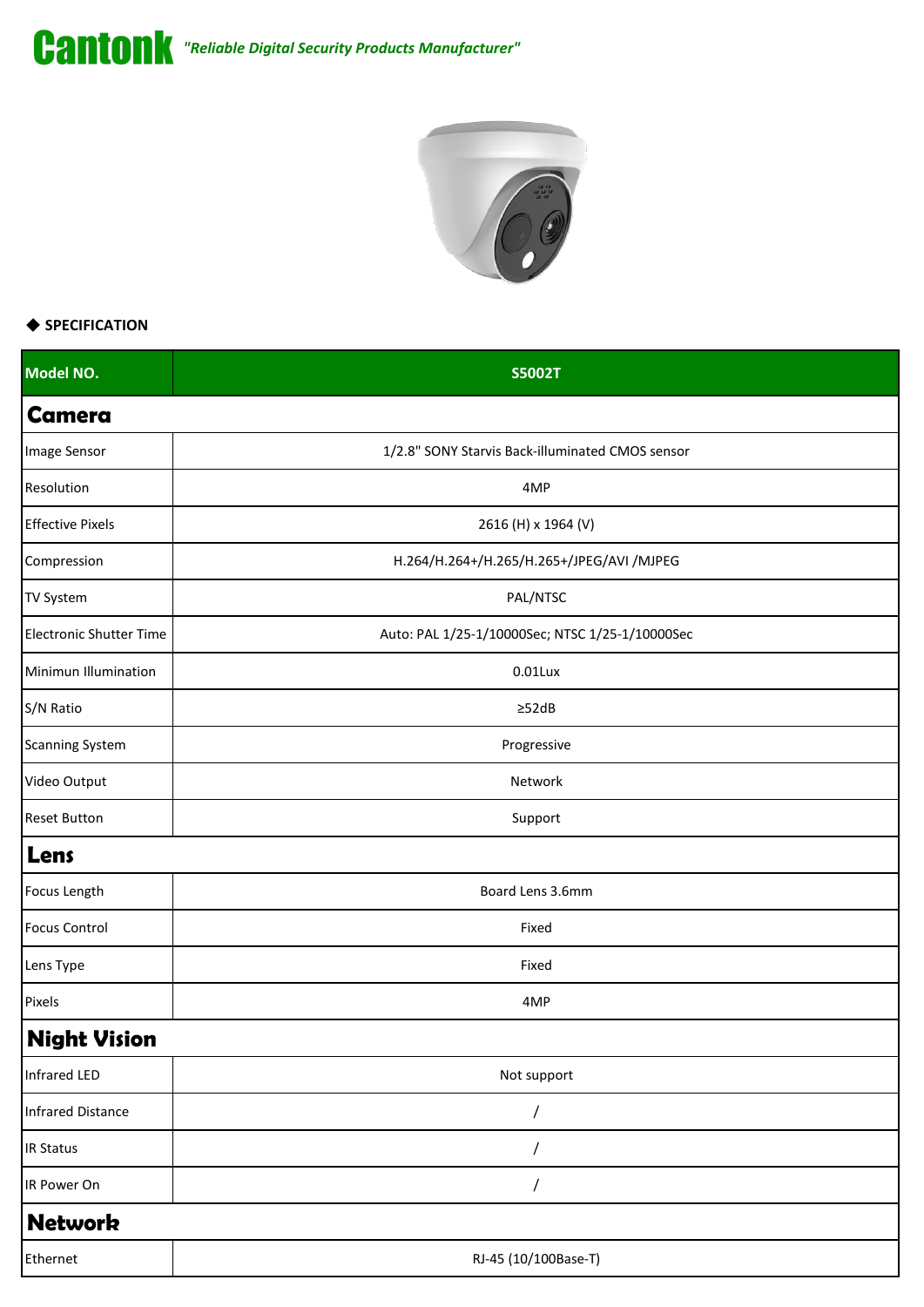



## ◆ **SPECIFICATION**

| Model NO.                      | <b>S5002T</b>                                    |
|--------------------------------|--------------------------------------------------|
| <b>Camera</b>                  |                                                  |
| Image Sensor                   | 1/2.8" SONY Starvis Back-illuminated CMOS sensor |
| Resolution                     | 4MP                                              |
| <b>Effective Pixels</b>        | 2616 (H) x 1964 (V)                              |
| Compression                    | H.264/H.264+/H.265/H.265+/JPEG/AVI /MJPEG        |
| TV System                      | PAL/NTSC                                         |
| <b>Electronic Shutter Time</b> | Auto: PAL 1/25-1/10000Sec; NTSC 1/25-1/10000Sec  |
| Minimun Illumination           | $0.01$ Lux                                       |
| S/N Ratio                      | $\geq$ 52dB                                      |
| <b>Scanning System</b>         | Progressive                                      |
| Video Output                   | Network                                          |
| <b>Reset Button</b>            | Support                                          |
| Lens                           |                                                  |
| Focus Length                   | Board Lens 3.6mm                                 |
| <b>Focus Control</b>           | Fixed                                            |
| Lens Type                      | Fixed                                            |
| Pixels                         | 4MP                                              |
| <b>Night Vision</b>            |                                                  |
| Infrared LED                   | Not support                                      |
| <b>Infrared Distance</b>       |                                                  |
| <b>IR Status</b>               |                                                  |
| IR Power On                    |                                                  |
| <b>Network</b>                 |                                                  |
| Ethernet                       | RJ-45 (10/100Base-T)                             |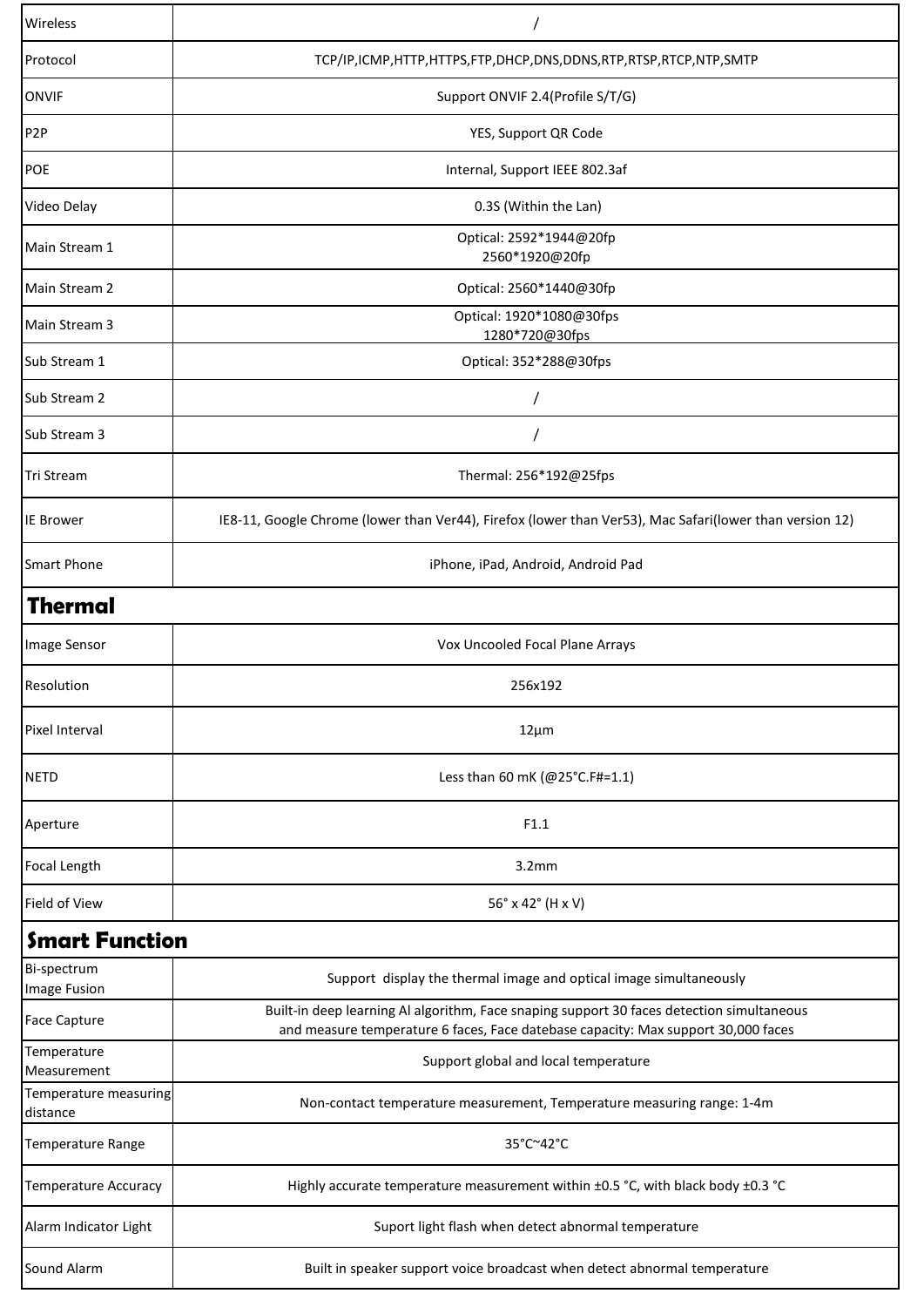| Wireless                          |                                                                                                                                                                                |
|-----------------------------------|--------------------------------------------------------------------------------------------------------------------------------------------------------------------------------|
| Protocol                          | TCP/IP,ICMP,HTTP,HTTPS,FTP,DHCP,DNS,DDNS,RTP,RTSP,RTCP,NTP,SMTP                                                                                                                |
| <b>ONVIF</b>                      | Support ONVIF 2.4(Profile S/T/G)                                                                                                                                               |
| P <sub>2</sub> P                  | YES, Support QR Code                                                                                                                                                           |
| POE                               | Internal, Support IEEE 802.3af                                                                                                                                                 |
| Video Delay                       | 0.3S (Within the Lan)                                                                                                                                                          |
| Main Stream 1                     | Optical: 2592*1944@20fp<br>2560*1920@20fp                                                                                                                                      |
| Main Stream 2                     | Optical: 2560*1440@30fp                                                                                                                                                        |
| Main Stream 3                     | Optical: 1920*1080@30fps<br>1280*720@30fps                                                                                                                                     |
| Sub Stream 1                      | Optical: 352*288@30fps                                                                                                                                                         |
| Sub Stream 2                      |                                                                                                                                                                                |
| Sub Stream 3                      |                                                                                                                                                                                |
| <b>Tri Stream</b>                 | Thermal: 256*192@25fps                                                                                                                                                         |
| <b>IE Brower</b>                  | IE8-11, Google Chrome (lower than Ver44), Firefox (lower than Ver53), Mac Safari(lower than version 12)                                                                        |
| <b>Smart Phone</b>                | iPhone, iPad, Android, Android Pad                                                                                                                                             |
| Thermal                           |                                                                                                                                                                                |
| Image Sensor                      | Vox Uncooled Focal Plane Arrays                                                                                                                                                |
| Resolution                        | 256x192                                                                                                                                                                        |
| Pixel Interval                    | $12 \mu m$                                                                                                                                                                     |
| <b>NETD</b>                       | Less than 60 mK (@25°C.F#=1.1)                                                                                                                                                 |
| Aperture                          | F1.1                                                                                                                                                                           |
| Focal Length                      | 3.2mm                                                                                                                                                                          |
| Field of View                     | 56° x 42° (H x V)                                                                                                                                                              |
| <b>Smart Function</b>             |                                                                                                                                                                                |
| Bi-spectrum<br>Image Fusion       | Support display the thermal image and optical image simultaneously                                                                                                             |
| <b>Face Capture</b>               | Built-in deep learning Al algorithm, Face snaping support 30 faces detection simultaneous<br>and measure temperature 6 faces, Face datebase capacity: Max support 30,000 faces |
| Temperature<br>Measurement        | Support global and local temperature                                                                                                                                           |
| Temperature measuring<br>distance | Non-contact temperature measurement, Temperature measuring range: 1-4m                                                                                                         |
| Temperature Range                 | 35°C~42°C                                                                                                                                                                      |
| <b>Temperature Accuracy</b>       | Highly accurate temperature measurement within ±0.5 °C, with black body ±0.3 °C                                                                                                |
| Alarm Indicator Light             | Suport light flash when detect abnormal temperature                                                                                                                            |
| Sound Alarm                       | Built in speaker support voice broadcast when detect abnormal temperature                                                                                                      |